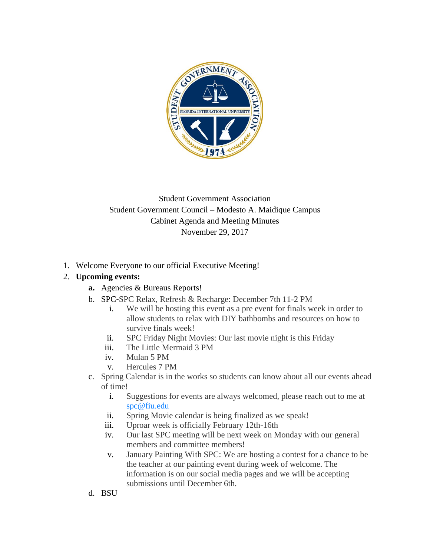

### Student Government Association Student Government Council – Modesto A. Maidique Campus Cabinet Agenda and Meeting Minutes November 29, 2017

1. Welcome Everyone to our official Executive Meeting!

### 2. **Upcoming events:**

- **a.** Agencies & Bureaus Reports!
- b. SPC-SPC Relax, Refresh & Recharge: December 7th 11-2 PM
	- i. We will be hosting this event as a pre event for finals week in order to allow students to relax with DIY bathbombs and resources on how to survive finals week!
	- ii. SPC Friday Night Movies: Our last movie night is this Friday
	- iii. The Little Mermaid 3 PM
	- iv. Mulan 5 PM
	- v. Hercules 7 PM
- c. Spring Calendar is in the works so students can know about all our events ahead of time!
	- i. Suggestions for events are always welcomed, please reach out to me at spc@fiu.edu
	- ii. Spring Movie calendar is being finalized as we speak!
	- iii. Uproar week is officially February 12th-16th
	- iv. Our last SPC meeting will be next week on Monday with our general members and committee members!
	- v. January Painting With SPC: We are hosting a contest for a chance to be the teacher at our painting event during week of welcome. The information is on our social media pages and we will be accepting submissions until December 6th.
- d. BSU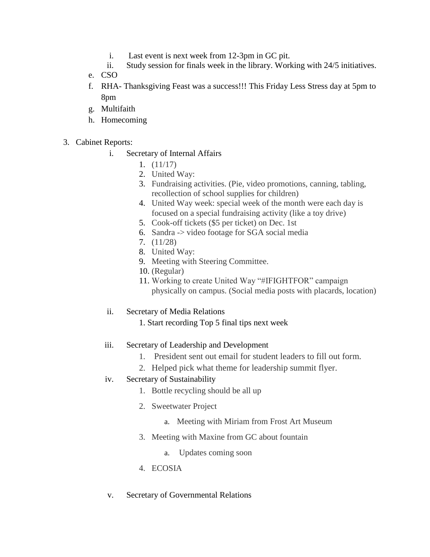- i. Last event is next week from 12-3pm in GC pit.
- ii. Study session for finals week in the library. Working with 24/5 initiatives.
- e. CSO
- f. RHA- Thanksgiving Feast was a success!!! This Friday Less Stress day at 5pm to 8pm
- g. Multifaith
- h. Homecoming
- 3. Cabinet Reports:
	- i. Secretary of Internal Affairs
		- 1. (11/17)
		- 2. United Way:
		- 3. Fundraising activities. (Pie, video promotions, canning, tabling, recollection of school supplies for children)
		- 4. United Way week: special week of the month were each day is focused on a special fundraising activity (like a toy drive)
		- 5. Cook-off tickets (\$5 per ticket) on Dec. 1st
		- 6. Sandra -> video footage for SGA social media
		- 7. (11/28)
		- 8. United Way:
		- 9. Meeting with Steering Committee.
		- 10. (Regular)
		- 11. Working to create United Way "#IFIGHTFOR" campaign physically on campus. (Social media posts with placards, location)
	- ii. Secretary of Media Relations
		- 1. Start recording Top 5 final tips next week
	- iii. Secretary of Leadership and Development
		- 1. President sent out email for student leaders to fill out form.
		- 2. Helped pick what theme for leadership summit flyer.
	- iv. Secretary of Sustainability
		- 1. Bottle recycling should be all up
		- 2. Sweetwater Project
			- a. Meeting with Miriam from Frost Art Museum
		- 3. Meeting with Maxine from GC about fountain
			- a. Updates coming soon
		- 4. ECOSIA
	- v. Secretary of Governmental Relations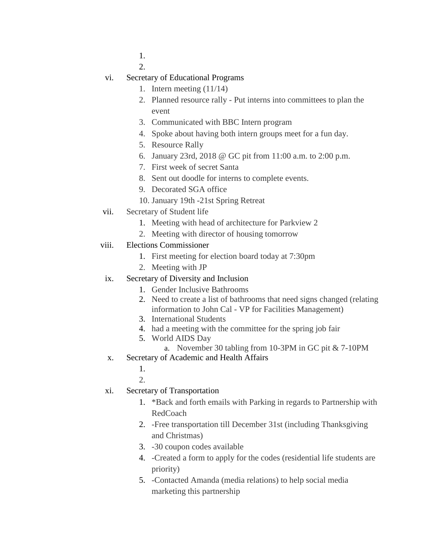1. 2.

vi. Secretary of Educational Programs

- 1. Intern meeting (11/14)
- 2. Planned resource rally Put interns into committees to plan the event
- 3. Communicated with BBC Intern program
- 4. Spoke about having both intern groups meet for a fun day.
- 5. Resource Rally
- 6. January 23rd, 2018 @ GC pit from 11:00 a.m. to 2:00 p.m.
- 7. First week of secret Santa
- 8. Sent out doodle for interns to complete events.
- 9. Decorated SGA office
- 10. January 19th -21st Spring Retreat
- vii. Secretary of Student life
	- 1. Meeting with head of architecture for Parkview 2
	- 2. Meeting with director of housing tomorrow
- viii. Elections Commissioner
	- 1. First meeting for election board today at 7:30pm
	- 2. Meeting with JP
	- ix. Secretary of Diversity and Inclusion
		- 1. Gender Inclusive Bathrooms
		- 2. Need to create a list of bathrooms that need signs changed (relating information to John Cal - VP for Facilities Management)
		- 3. International Students
		- 4. had a meeting with the committee for the spring job fair
		- 5. World AIDS Day
			- a. November 30 tabling from 10-3PM in GC pit & 7-10PM
	- x. Secretary of Academic and Health Affairs
		- 1.

2.

- xi. Secretary of Transportation
	- 1. \*Back and forth emails with Parking in regards to Partnership with RedCoach
	- 2. -Free transportation till December 31st (including Thanksgiving and Christmas)
	- 3. -30 coupon codes available
	- 4. -Created a form to apply for the codes (residential life students are priority)
	- 5. -Contacted Amanda (media relations) to help social media marketing this partnership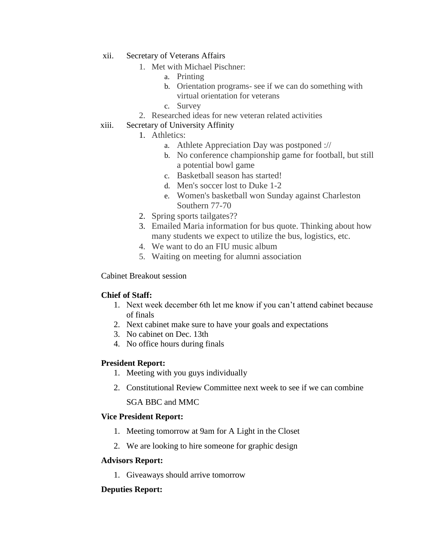- xii. Secretary of Veterans Affairs
	- 1. Met with Michael Pischner:
		- a. Printing
		- b. Orientation programs- see if we can do something with virtual orientation for veterans
		- c. Survey
	- 2. Researched ideas for new veteran related activities
- xiii. Secretary of University Affinity
	- 1. Athletics:
		- a. Athlete Appreciation Day was postponed ://
		- b. No conference championship game for football, but still a potential bowl game
		- c. Basketball season has started!
		- d. Men's soccer lost to Duke 1-2
		- e. Women's basketball won Sunday against Charleston Southern 77-70
	- 2. Spring sports tailgates??
	- 3. Emailed Maria information for bus quote. Thinking about how many students we expect to utilize the bus, logistics, etc.
	- 4. We want to do an FIU music album
	- 5. Waiting on meeting for alumni association

#### Cabinet Breakout session

#### **Chief of Staff:**

- 1. Next week december 6th let me know if you can't attend cabinet because of finals
- 2. Next cabinet make sure to have your goals and expectations
- 3. No cabinet on Dec. 13th
- 4. No office hours during finals

#### **President Report:**

- 1. Meeting with you guys individually
- 2. Constitutional Review Committee next week to see if we can combine

SGA BBC and MMC

#### **Vice President Report:**

- 1. Meeting tomorrow at 9am for A Light in the Closet
- 2. We are looking to hire someone for graphic design

#### **Advisors Report:**

1. Giveaways should arrive tomorrow

#### **Deputies Report:**